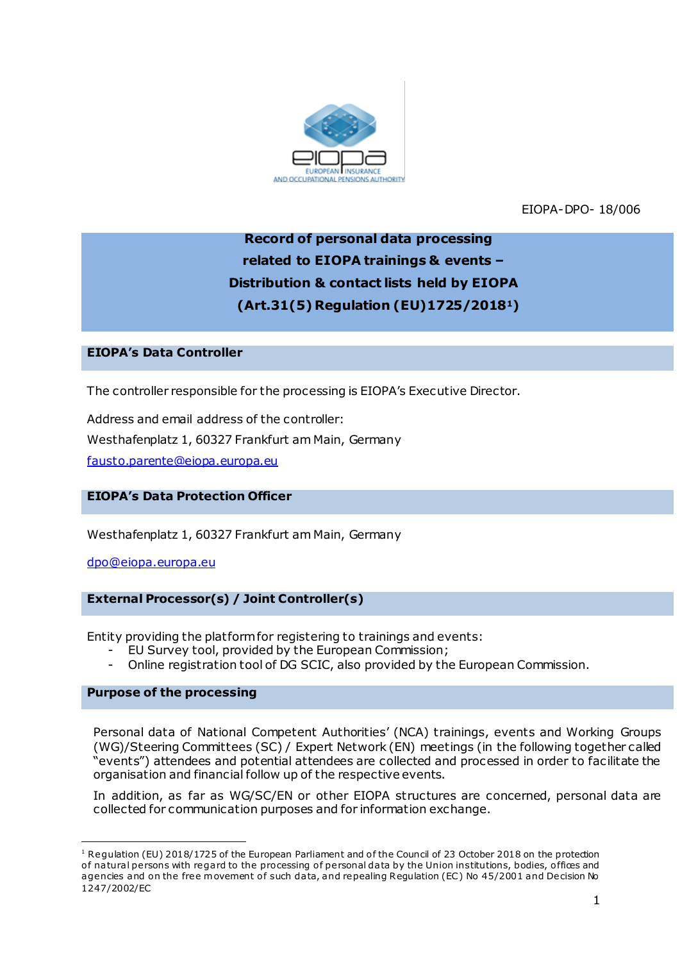

EIOPA-DPO- 18/006

# **Record of personal data processing related to EIOPA trainings & events – Distribution & contact lists held by EIOPA (Art.31(5) Regulation (EU)1725/20181)**

# **EIOPA's Data Controller**

The controller responsible for the processing is EIOPA's Executive Director.

Address and email address of the controller: Westhafenplatz 1, 60327 Frankfurt am Main, Germany [fausto.parente@eiopa.europa.eu](mailto:fausto.parente@eiopa.europa.eu)

## **EIOPA's Data Protection Officer**

Westhafenplatz 1, 60327 Frankfurt am Main, Germany

[dpo@eiopa.europa.eu](mailto:dpo@eiopa.europa.eu)

## **External Processor(s) / Joint Controller(s)**

Entity providing the platform for registering to trainings and events:

- EU Survey tool, provided by the European Commission;
- Online registration tool of DG SCIC, also provided by the European Commission.

#### **Purpose of the processing**

.

Personal data of National Competent Authorities' (NCA) trainings, events and Working Groups (WG)/Steering Committees (SC) / Expert Network (EN) meetings (in the following together called "events") attendees and potential attendees are collected and processed in order to facilitate the organisation and financial follow up of the respective events.

In addition, as far as WG/SC/EN or other EIOPA structures are concerned, personal data are collected for communication purposes and for information exchange.

<sup>&</sup>lt;sup>1</sup> Regulation (EU) 2018/1725 of the European Parliament and of the Council of 23 October 2018 on the protection of natural persons with regard to the processing of personal data by the Union institutions, bodies, offices and agencies and on the free movement of such data, and repealing Regulation (EC) No 45/2001 and Decision No 1247/2002/EC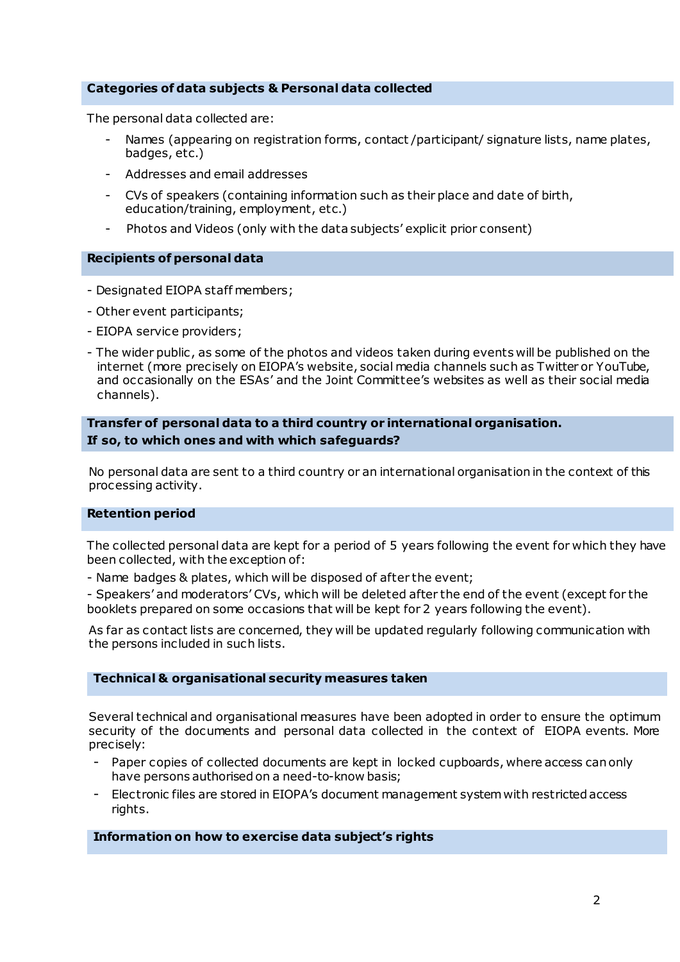### **Categories of data subjects & Personal data collected**

The personal data collected are:

- Names (appearing on registration forms, contact /participant/ signature lists, name plates, badges, etc.)
- Addresses and email addresses
- CVs of speakers (containing information such as their place and date of birth, education/training, employment, etc.)
- Photos and Videos (only with the data subjects' explicit prior consent)

#### **Recipients of personal data**

- Designated EIOPA staff members;
- Other event participants;
- EIOPA service providers;
- The wider public , as some of the photos and videos taken during events will be published on the internet (more precisely on EIOPA's website, social media channels such as Twitter or YouTube, and occasionally on the ESAs' and the Joint Committee's websites as well as their social media channels).

## **Transfer of personal data to a third country or international organisation. If so, to which ones and with which safeguards?**

No personal data are sent to a third country or an international organisation in the context of this processing activity.

#### **Retention period**

The collected personal data are kept for a period of 5 years following the event for which they have been collected, with the exception of:

- Name badges & plates, which will be disposed of after the event;

- Speakers' and moderators' CVs, which will be deleted after the end of the event (except for the booklets prepared on some occasions that will be kept for 2 years following the event).

As far as contact lists are concerned, they will be updated regularly following communication with the persons included in such lists.

#### **Technical & organisational security measures taken**

Several technical and organisational measures have been adopted in order to ensure the optimum security of the documents and personal data collected in the context of EIOPA events. More precisely:

- Paper copies of collected documents are kept in locked cupboards, where access canonly have persons authorised on a need-to-know basis;
- Electronic files are stored in EIOPA's document management systemwith restricted access rights.

#### **Information on how to exercise data subject's rights**